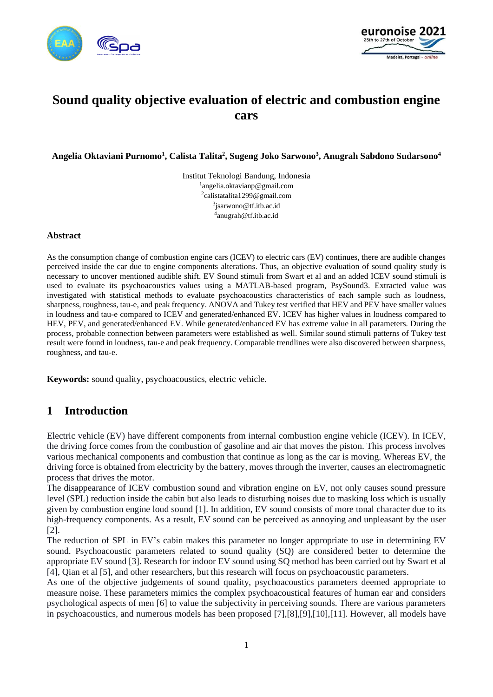



# **Sound quality objective evaluation of electric and combustion engine cars**

**Angelia Oktaviani Purnomo<sup>1</sup> , Calista Talita<sup>2</sup> , Sugeng Joko Sarwono<sup>3</sup> , Anugrah Sabdono Sudarsono<sup>4</sup>**

Institut Teknologi Bandung, Indonesia angelia.oktavianp@gmail.com calistatalita1299@gmail.com jsarwono@tf.itb.ac.id anugrah@tf.itb.ac.id

#### **Abstract**

As the consumption change of combustion engine cars (ICEV) to electric cars (EV) continues, there are audible changes perceived inside the car due to engine components alterations. Thus, an objective evaluation of sound quality study is necessary to uncover mentioned audible shift. EV Sound stimuli from Swart et al and an added ICEV sound stimuli is used to evaluate its psychoacoustics values using a MATLAB-based program, PsySound3. Extracted value was investigated with statistical methods to evaluate psychoacoustics characteristics of each sample such as loudness, sharpness, roughness, tau-e, and peak frequency. ANOVA and Tukey test verified that HEV and PEV have smaller values in loudness and tau-e compared to ICEV and generated/enhanced EV. ICEV has higher values in loudness compared to HEV, PEV, and generated/enhanced EV. While generated/enhanced EV has extreme value in all parameters. During the process, probable connection between parameters were established as well. Similar sound stimuli patterns of Tukey test result were found in loudness, tau-e and peak frequency. Comparable trendlines were also discovered between sharpness, roughness, and tau-e.

**Keywords:** sound quality, psychoacoustics, electric vehicle.

# **1 Introduction**

Electric vehicle (EV) have different components from internal combustion engine vehicle (ICEV). In ICEV, the driving force comes from the combustion of gasoline and air that moves the piston. This process involves various mechanical components and combustion that continue as long as the car is moving. Whereas EV, the driving force is obtained from electricity by the battery, moves through the inverter, causes an electromagnetic process that drives the motor.

The disappearance of ICEV combustion sound and vibration engine on EV, not only causes sound pressure level (SPL) reduction inside the cabin but also leads to disturbing noises due to masking loss which is usually given by combustion engine loud sound [1]. In addition, EV sound consists of more tonal character due to its high-frequency components. As a result, EV sound can be perceived as annoying and unpleasant by the user [2].

The reduction of SPL in EV's cabin makes this parameter no longer appropriate to use in determining EV sound. Psychoacoustic parameters related to sound quality (SQ) are considered better to determine the appropriate EV sound [3]. Research for indoor EV sound using SQ method has been carried out by Swart et al [4], Qian et al [5], and other researchers, but this research will focus on psychoacoustic parameters.

As one of the objective judgements of sound quality, psychoacoustics parameters deemed appropriate to measure noise. These parameters mimics the complex psychoacoustical features of human ear and considers psychological aspects of men [6] to value the subjectivity in perceiving sounds. There are various parameters in psychoacoustics, and numerous models has been proposed [7],[8],[9],[10],[11]. However, all models have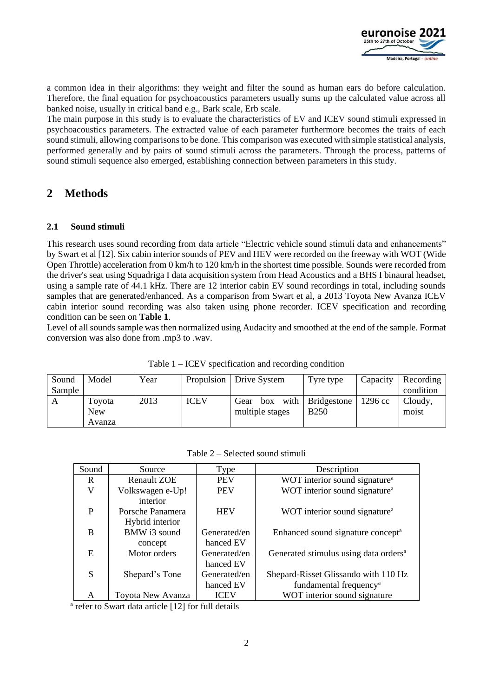

a common idea in their algorithms: they weight and filter the sound as human ears do before calculation. Therefore, the final equation for psychoacoustics parameters usually sums up the calculated value across all banked noise, usually in critical band e.g., Bark scale, Erb scale.

The main purpose in this study is to evaluate the characteristics of EV and ICEV sound stimuli expressed in psychoacoustics parameters. The extracted value of each parameter furthermore becomes the traits of each sound stimuli, allowing comparisons to be done. This comparison was executed with simple statistical analysis, performed generally and by pairs of sound stimuli across the parameters. Through the process, patterns of sound stimuli sequence also emerged, establishing connection between parameters in this study.

# **2 Methods**

### **2.1 Sound stimuli**

This research uses sound recording from data article "Electric vehicle sound stimuli data and enhancements" by Swart et al [12]. Six cabin interior sounds of PEV and HEV were recorded on the freeway with WOT (Wide Open Throttle) acceleration from 0 km/h to 120 km/h in the shortest time possible. Sounds were recorded from the driver's seat using Squadriga I data acquisition system from Head Acoustics and a BHS I binaural headset, using a sample rate of 44.1 kHz. There are 12 interior cabin EV sound recordings in total, including sounds samples that are generated/enhanced. As a comparison from Swart et al, a 2013 Toyota New Avanza ICEV cabin interior sound recording was also taken using phone recorder. ICEV specification and recording condition can be seen on **[Table 1](#page-1-0)**.

Level of all sounds sample was then normalized using Audacity and smoothed at the end of the sample. Format conversion was also done from .mp3 to .wav.

<span id="page-1-0"></span>

| Sound  | Model      | Year |             | Propulsion   Drive System | Tyre type        | Capacity          | Recording |
|--------|------------|------|-------------|---------------------------|------------------|-------------------|-----------|
| Sample |            |      |             |                           |                  |                   | condition |
| A      | Tovota     | 2013 | <b>ICEV</b> | Gear<br>box               | with Bridgestone | $1296 \text{ cc}$ | Cloudy,   |
|        | <b>New</b> |      |             | multiple stages           | <b>B250</b>      |                   | moist     |
|        | Avanza     |      |             |                           |                  |                   |           |

Table 1 – ICEV specification and recording condition

| Table 2 – Selected sound stimuli |  |  |  |
|----------------------------------|--|--|--|
|----------------------------------|--|--|--|

| Sound | Source             | Type         | Description                                       |
|-------|--------------------|--------------|---------------------------------------------------|
| R     | <b>Renault ZOE</b> | <b>PEV</b>   | WOT interior sound signature <sup>a</sup>         |
| V     | Volkswagen e-Up!   | <b>PEV</b>   | WOT interior sound signature <sup>a</sup>         |
|       | interior           |              |                                                   |
| P     | Porsche Panamera   | <b>HEV</b>   | WOT interior sound signature <sup>a</sup>         |
|       | Hybrid interior    |              |                                                   |
| B     | BMW i3 sound       | Generated/en | Enhanced sound signature concept <sup>a</sup>     |
|       | concept            | hanced EV    |                                                   |
| E     | Motor orders       | Generated/en | Generated stimulus using data orders <sup>a</sup> |
|       |                    | hanced EV    |                                                   |
| S     | Shepard's Tone     | Generated/en | Shepard-Risset Glissando with 110 Hz              |
|       |                    | hanced EV    | fundamental frequency <sup>a</sup>                |
| A     | Toyota New Avanza  | <b>ICEV</b>  | WOT interior sound signature                      |

<sup>a</sup> refer to Swart data article [12] for full details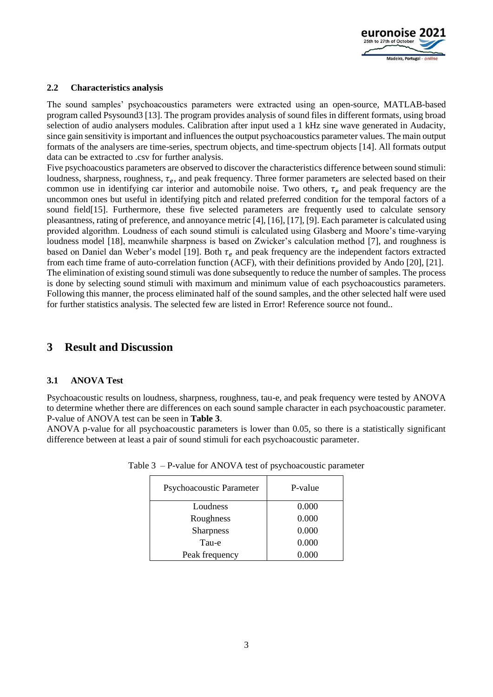

#### **2.2 Characteristics analysis**

The sound samples' psychoacoustics parameters were extracted using an open-source, MATLAB-based program called Psysound3 [13]. The program provides analysis of sound files in different formats, using broad selection of audio analysers modules. Calibration after input used a 1 kHz sine wave generated in Audacity, since gain sensitivity is important and influences the output psychoacoustics parameter values. The main output formats of the analysers are time-series, spectrum objects, and time-spectrum objects [14]. All formats output data can be extracted to .csv for further analysis.

Five psychoacoustics parameters are observed to discover the characteristics difference between sound stimuli: loudness, sharpness, roughness,  $\tau_e$ , and peak frequency. Three former parameters are selected based on their common use in identifying car interior and automobile noise. Two others,  $\tau_e$  and peak frequency are the uncommon ones but useful in identifying pitch and related preferred condition for the temporal factors of a sound field[15]. Furthermore, these five selected parameters are frequently used to calculate sensory pleasantness, rating of preference, and annoyance metric [4], [16], [17], [9]. Each parameter is calculated using provided algorithm. Loudness of each sound stimuli is calculated using Glasberg and Moore's time-varying loudness model [18], meanwhile sharpness is based on Zwicker's calculation method [7], and roughness is based on Daniel dan Weber's model [19]. Both  $\tau_e$  and peak frequency are the independent factors extracted from each time frame of auto-correlation function (ACF), with their definitions provided by Ando [20], [21]. The elimination of existing sound stimuli was done subsequently to reduce the number of samples. The process is done by selecting sound stimuli with maximum and minimum value of each psychoacoustics parameters. Following this manner, the process eliminated half of the sound samples, and the other selected half were used for further statistics analysis. The selected few are listed in Error! Reference source not found..

### **3 Result and Discussion**

#### **3.1 ANOVA Test**

Psychoacoustic results on loudness, sharpness, roughness, tau-e, and peak frequency were tested by ANOVA to determine whether there are differences on each sound sample character in each psychoacoustic parameter. P-value of ANOVA test can be seen in **[Table 3](#page-2-0)**.

<span id="page-2-0"></span>ANOVA p-value for all psychoacoustic parameters is lower than 0.05, so there is a statistically significant difference between at least a pair of sound stimuli for each psychoacoustic parameter.

| Psychoacoustic Parameter | P-value |  |
|--------------------------|---------|--|
| Loudness                 | 0.000   |  |
| Roughness                | 0.000   |  |
| <b>Sharpness</b>         | 0.000   |  |
| Tau-e                    | 0.000   |  |
| Peak frequency           | 0.000   |  |

| Table 3 – P-value for ANOVA test of psychoacoustic parameter |  |
|--------------------------------------------------------------|--|
|--------------------------------------------------------------|--|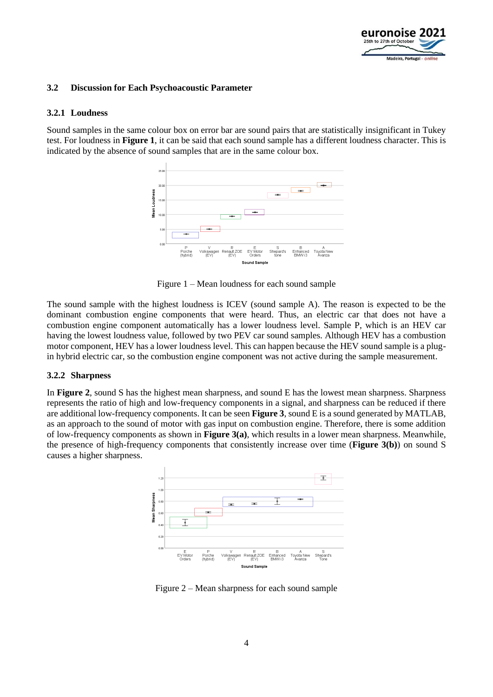

#### **3.2 Discussion for Each Psychoacoustic Parameter**

#### **3.2.1 Loudness**

Sound samples in the same colour box on error bar are sound pairs that are statistically insignificant in Tukey test. For loudness in **[Figure 1](#page-3-0)**, it can be said that each sound sample has a different loudness character. This is indicated by the absence of sound samples that are in the same colour box.



Figure 1 – Mean loudness for each sound sample

<span id="page-3-0"></span>The sound sample with the highest loudness is ICEV (sound sample A). The reason is expected to be the dominant combustion engine components that were heard. Thus, an electric car that does not have a combustion engine component automatically has a lower loudness level. Sample P, which is an HEV car having the lowest loudness value, followed by two PEV car sound samples. Although HEV has a combustion motor component, HEV has a lower loudness level. This can happen because the HEV sound sample is a plugin hybrid electric car, so the combustion engine component was not active during the sample measurement.

#### **3.2.2 Sharpness**

In **[Figure 2](#page-3-1)**, sound S has the highest mean sharpness, and sound E has the lowest mean sharpness. Sharpness represents the ratio of high and low-frequency components in a signal, and sharpness can be reduced if there are additional low-frequency components. It can be seen **[Figure 3](#page-4-0)**, sound E is a sound generated by MATLAB, as an approach to the sound of motor with gas input on combustion engine. Therefore, there is some addition of low-frequency components as shown in **[Figure 3\(](#page-4-0)a)**, which results in a lower mean sharpness. Meanwhile, the presence of high-frequency components that consistently increase over time (**[Figure 3\(](#page-4-0)b)**) on sound S causes a higher sharpness.



<span id="page-3-1"></span>Figure 2 – Mean sharpness for each sound sample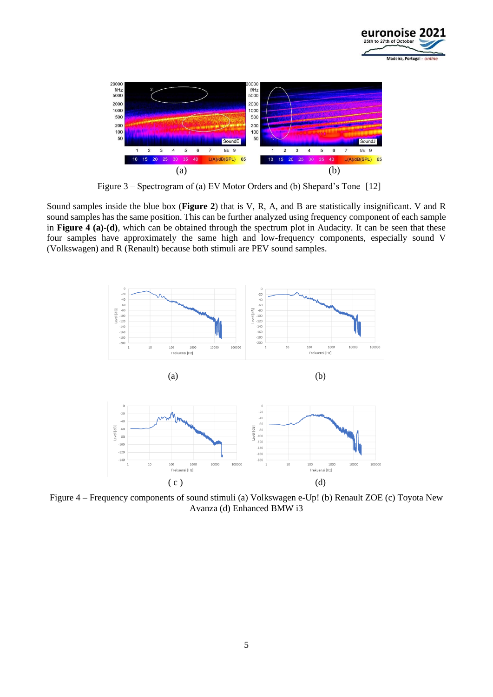



Figure 3 – Spectrogram of (a) EV Motor Orders and (b) Shepard's Tone [12]

<span id="page-4-0"></span>Sound samples inside the blue box (**[Figure 2](#page-3-1)**) that is V, R, A, and B are statistically insignificant. V and R sound samples has the same position. This can be further analyzed using frequency component of each sample in **[Figure 4](#page-4-1) (a)-(d)**, which can be obtained through the spectrum plot in Audacity. It can be seen that these four samples have approximately the same high and low-frequency components, especially sound V (Volkswagen) and R (Renault) because both stimuli are PEV sound samples.



<span id="page-4-1"></span>Figure 4 – Frequency components of sound stimuli (a) Volkswagen e-Up! (b) Renault ZOE (c) Toyota New Avanza (d) Enhanced BMW i3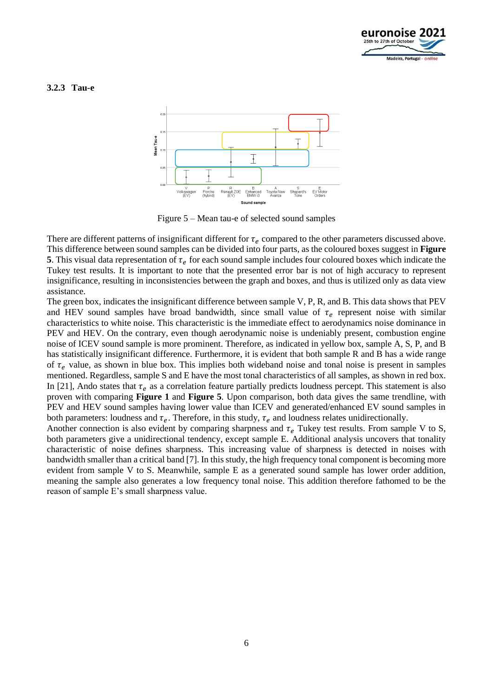

#### **3.2.3 Tau-e**



Figure 5 – Mean tau-e of selected sound samples

<span id="page-5-0"></span>There are different patterns of insignificant different for  $\tau_e$  compared to the other parameters discussed above. This difference between sound samples can be divided into four parts, as the coloured boxes suggest in **[Figure](#page-5-0)  [5](#page-5-0)**. This visual data representation of  $\tau_e$  for each sound sample includes four coloured boxes which indicate the Tukey test results. It is important to note that the presented error bar is not of high accuracy to represent insignificance, resulting in inconsistencies between the graph and boxes, and thus is utilized only as data view assistance.

The green box, indicates the insignificant difference between sample V, P, R, and B. This data shows that PEV and HEV sound samples have broad bandwidth, since small value of  $\tau_e$  represent noise with similar characteristics to white noise. This characteristic is the immediate effect to aerodynamics noise dominance in PEV and HEV. On the contrary, even though aerodynamic noise is undeniably present, combustion engine noise of ICEV sound sample is more prominent. Therefore, as indicated in yellow box, sample A, S, P, and B has statistically insignificant difference. Furthermore, it is evident that both sample R and B has a wide range of  $\tau_e$  value, as shown in blue box. This implies both wideband noise and tonal noise is present in samples mentioned. Regardless, sample S and E have the most tonal characteristics of all samples, as shown in red box. In [21], Ando states that  $\tau_e$  as a correlation feature partially predicts loudness percept. This statement is also proven with comparing **[Figure 1](#page-3-0)** and **[Figure 5](#page-5-0)**. Upon comparison, both data gives the same trendline, with PEV and HEV sound samples having lower value than ICEV and generated/enhanced EV sound samples in both parameters: loudness and  $\tau_e$ . Therefore, in this study,  $\tau_e$  and loudness relates unidirectionally.

Another connection is also evident by comparing sharpness and  $\tau_e$  Tukey test results. From sample V to S, both parameters give a unidirectional tendency, except sample E. Additional analysis uncovers that tonality characteristic of noise defines sharpness. This increasing value of sharpness is detected in noises with bandwidth smaller than a critical band [7]. In this study, the high frequency tonal component is becoming more evident from sample V to S. Meanwhile, sample E as a generated sound sample has lower order addition, meaning the sample also generates a low frequency tonal noise. This addition therefore fathomed to be the reason of sample E's small sharpness value.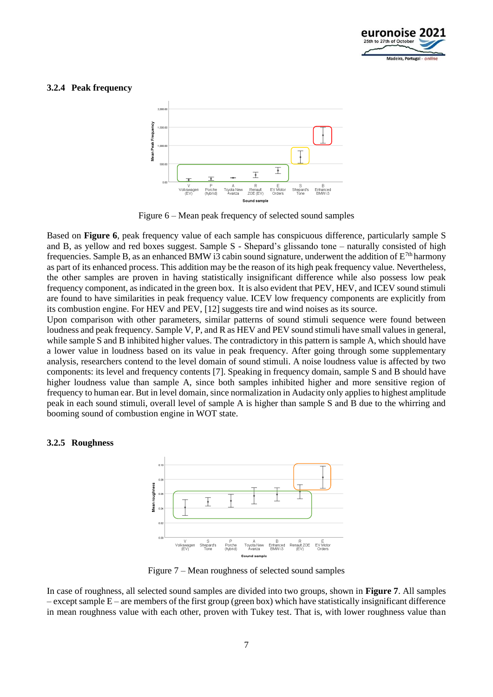

#### **3.2.4 Peak frequency**



Figure 6 – Mean peak frequency of selected sound samples

<span id="page-6-0"></span>Based on **[Figure 6](#page-6-0)**, peak frequency value of each sample has conspicuous difference, particularly sample S and B, as yellow and red boxes suggest. Sample S - Shepard's glissando tone – naturally consisted of high frequencies. Sample B, as an enhanced BMW i3 cabin sound signature, underwent the addition of  $E^{7th}$  harmony as part of its enhanced process. This addition may be the reason of its high peak frequency value. Nevertheless, the other samples are proven in having statistically insignificant difference while also possess low peak frequency component, as indicated in the green box. It is also evident that PEV, HEV, and ICEV sound stimuli are found to have similarities in peak frequency value. ICEV low frequency components are explicitly from its combustion engine. For HEV and PEV, [12] suggests tire and wind noises as its source.

Upon comparison with other parameters, similar patterns of sound stimuli sequence were found between loudness and peak frequency. Sample V, P, and R as HEV and PEV sound stimuli have small values in general, while sample S and B inhibited higher values. The contradictory in this pattern is sample A, which should have a lower value in loudness based on its value in peak frequency. After going through some supplementary analysis, researchers contend to the level domain of sound stimuli. A noise loudness value is affected by two components: its level and frequency contents [7]. Speaking in frequency domain, sample S and B should have higher loudness value than sample A, since both samples inhibited higher and more sensitive region of frequency to human ear. But in level domain, since normalization in Audacity only applies to highest amplitude peak in each sound stimuli, overall level of sample A is higher than sample S and B due to the whirring and booming sound of combustion engine in WOT state.

#### **3.2.5 Roughness**



Figure 7 – Mean roughness of selected sound samples

<span id="page-6-1"></span>In case of roughness, all selected sound samples are divided into two groups, shown in **[Figure 7](#page-6-1)**. All samples  $-$  except sample  $E$  – are members of the first group (green box) which have statistically insignificant difference in mean roughness value with each other, proven with Tukey test. That is, with lower roughness value than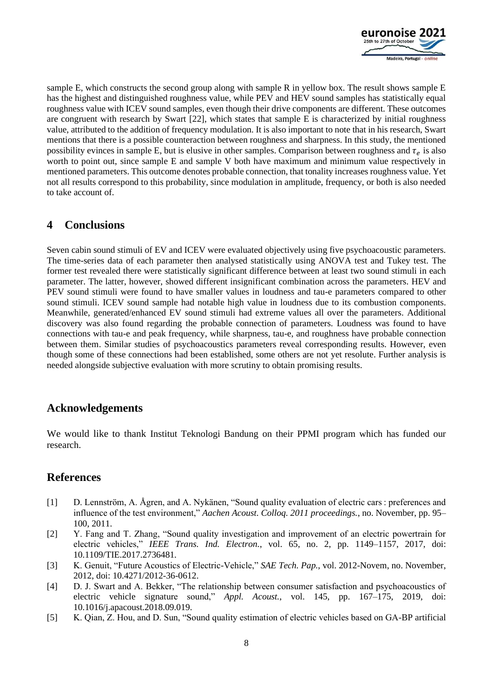

sample E, which constructs the second group along with sample R in yellow box. The result shows sample E has the highest and distinguished roughness value, while PEV and HEV sound samples has statistically equal roughness value with ICEV sound samples, even though their drive components are different. These outcomes are congruent with research by Swart [22], which states that sample E is characterized by initial roughness value, attributed to the addition of frequency modulation. It is also important to note that in his research, Swart mentions that there is a possible counteraction between roughness and sharpness. In this study, the mentioned possibility evinces in sample E, but is elusive in other samples. Comparison between roughness and  $\tau_e$  is also worth to point out, since sample E and sample V both have maximum and minimum value respectively in mentioned parameters. This outcome denotes probable connection, that tonality increases roughness value. Yet not all results correspond to this probability, since modulation in amplitude, frequency, or both is also needed to take account of.

# **4 Conclusions**

Seven cabin sound stimuli of EV and ICEV were evaluated objectively using five psychoacoustic parameters. The time-series data of each parameter then analysed statistically using ANOVA test and Tukey test. The former test revealed there were statistically significant difference between at least two sound stimuli in each parameter. The latter, however, showed different insignificant combination across the parameters. HEV and PEV sound stimuli were found to have smaller values in loudness and tau-e parameters compared to other sound stimuli. ICEV sound sample had notable high value in loudness due to its combustion components. Meanwhile, generated/enhanced EV sound stimuli had extreme values all over the parameters. Additional discovery was also found regarding the probable connection of parameters. Loudness was found to have connections with tau-e and peak frequency, while sharpness, tau-e, and roughness have probable connection between them. Similar studies of psychoacoustics parameters reveal corresponding results. However, even though some of these connections had been established, some others are not yet resolute. Further analysis is needed alongside subjective evaluation with more scrutiny to obtain promising results.

## **Acknowledgements**

We would like to thank Institut Teknologi Bandung on their PPMI program which has funded our research.

## **References**

- [1] D. Lennström, A. Ågren, and A. Nykänen, "Sound quality evaluation of electric cars : preferences and influence of the test environment," *Aachen Acoust. Colloq. 2011 proceedings.*, no. November, pp. 95– 100, 2011.
- [2] Y. Fang and T. Zhang, "Sound quality investigation and improvement of an electric powertrain for electric vehicles," *IEEE Trans. Ind. Electron.*, vol. 65, no. 2, pp. 1149–1157, 2017, doi: 10.1109/TIE.2017.2736481.
- [3] K. Genuit, "Future Acoustics of Electric-Vehicle," *SAE Tech. Pap.*, vol. 2012-Novem, no. November, 2012, doi: 10.4271/2012-36-0612.
- [4] D. J. Swart and A. Bekker, "The relationship between consumer satisfaction and psychoacoustics of electric vehicle signature sound," *Appl. Acoust.*, vol. 145, pp. 167–175, 2019, doi: 10.1016/j.apacoust.2018.09.019.
- [5] K. Qian, Z. Hou, and D. Sun, "Sound quality estimation of electric vehicles based on GA-BP artificial